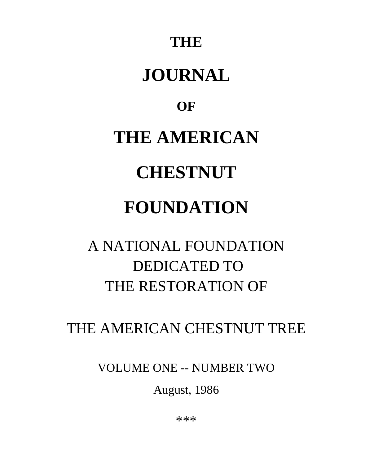## **THE**

# **JOURNAL**

## **OF**

# **THE AMERICAN**

# **CHESTNUT**

# **FOUNDATION**

# A NATIONAL FOUNDATION DEDICATED TO THE RESTORATION OF

## THE AMERICAN CHESTNUT TREE

VOLUME ONE -- NUMBER TWO

August, 1986

\*\*\*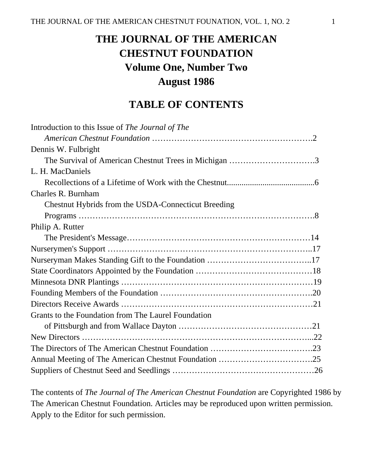## **THE JOURNAL OF THE AMERICAN CHESTNUT FOUNDATION Volume One, Number Two August 1986**

## **TABLE OF CONTENTS**

| Introduction to this Issue of The Journal of The      |  |
|-------------------------------------------------------|--|
|                                                       |  |
| Dennis W. Fulbright                                   |  |
| The Survival of American Chestnut Trees in Michigan 3 |  |
| L. H. MacDaniels                                      |  |
|                                                       |  |
| Charles R. Burnham                                    |  |
| Chestnut Hybrids from the USDA-Connecticut Breeding   |  |
|                                                       |  |
| Philip A. Rutter                                      |  |
|                                                       |  |
|                                                       |  |
|                                                       |  |
|                                                       |  |
|                                                       |  |
|                                                       |  |
|                                                       |  |
| Grants to the Foundation from The Laurel Foundation   |  |
|                                                       |  |
|                                                       |  |
|                                                       |  |
|                                                       |  |
|                                                       |  |

The contents of *The Journal of The American Chestnut Foundation* are Copyrighted 1986 by The American Chestnut Foundation. Articles may be reproduced upon written permission. Apply to the Editor for such permission.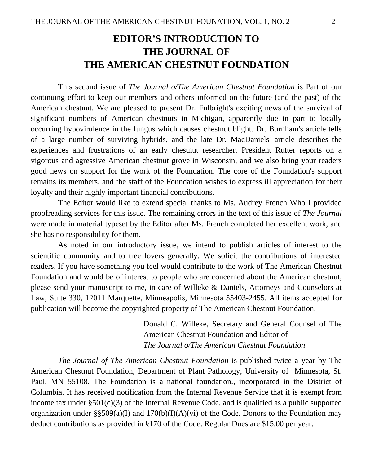## **EDITOR'S INTRODUCTION TO THE JOURNAL OF THE AMERICAN CHESTNUT FOUNDATION**

This second issue of *The Journal o/The American Chestnut Foundation* is Part of our continuing effort to keep our members and others informed on the future (and the past) of the American chestnut. We are pleased to present Dr. Fulbright's exciting news of the survival of significant numbers of American chestnuts in Michigan, apparently due in part to locally occurring hypovirulence in the fungus which causes chestnut blight. Dr. Burnham's article tells of a large number of surviving hybrids, and the late Dr. MacDaniels' article describes the experiences and frustrations of an early chestnut researcher. President Rutter reports on a vigorous and agressive American chestnut grove in Wisconsin, and we also bring your readers good news on support for the work of the Foundation. The core of the Foundation's support remains its members, and the staff of the Foundation wishes to express ill appreciation for their loyalty and their highly important financial contributions.

The Editor would like to extend special thanks to Ms. Audrey French Who I provided proofreading services for this issue. The remaining errors in the text of this issue of *The Journal*  were made in material typeset by the Editor after Ms. French completed her excellent work, and she has no responsibility for them.

As noted in our introductory issue, we intend to publish articles of interest to the scientific community and to tree lovers generally. We solicit the contributions of interested readers. If you have something you feel would contribute to the work of The American Chestnut Foundation and would be of interest to people who are concerned about the American chestnut, please send your manuscript to me, in care of Willeke & Daniels, Attorneys and Counselors at Law, Suite 330, 12011 Marquette, Minneapolis, Minnesota 55403-2455. All items accepted for publication will become the copyrighted property of The American Chestnut Foundation.

> Donald C. Willeke, Secretary and General Counsel of The American Chestnut Foundation and Editor of *The Journal o/The American Chestnut Foundation*

*The Journal of The American Chestnut Foundation* is published twice a year by The American Chestnut Foundation, Department of Plant Pathology, University of Minnesota, St. Paul, MN 55108. The Foundation is a national foundation., incorporated in the District of Columbia. It has received notification from the Internal Revenue Service that it is exempt from income tax under §501(c)(3) of the Internal Revenue Code, and is qualified as a public supported organization under §§509(a)(I) and  $170(b)(I)(A)(vi)$  of the Code. Donors to the Foundation may deduct contributions as provided in §170 of the Code. Regular Dues are \$15.00 per year.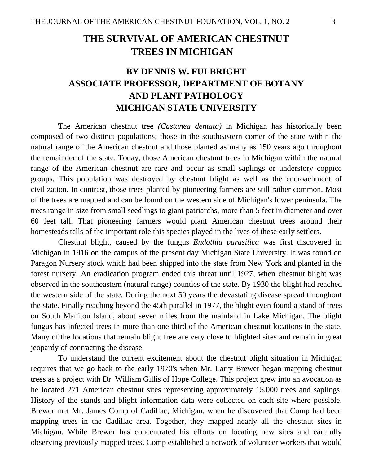## **THE SURVIVAL OF AMERICAN CHESTNUT TREES IN MICHIGAN**

## **BY DENNIS W. FULBRIGHT ASSOCIATE PROFESSOR, DEPARTMENT OF BOTANY AND PLANT PATHOLOGY MICHIGAN STATE UNIVERSITY**

The American chestnut tree *(Castanea dentata)* in Michigan has historically been composed of two distinct populations; those in the southeastern comer of the state within the natural range of the American chestnut and those planted as many as 150 years ago throughout the remainder of the state. Today, those American chestnut trees in Michigan within the natural range of the American chestnut are rare and occur as small saplings or understory coppice groups. This population was destroyed by chestnut blight as well as the encroachment of civilization. In contrast, those trees planted by pioneering farmers are still rather common. Most of the trees are mapped and can be found on the western side of Michigan's lower peninsula. The trees range in size from small seedlings to giant patriarchs, more than 5 feet in diameter and over 60 feet tall. That pioneering farmers would plant American chestnut trees around their homesteads tells of the important role this species played in the lives of these early settlers.

Chestnut blight, caused by the fungus *Endothia parasitica* was first discovered in Michigan in 1916 on the campus of the present day Michigan State University. It was found on Paragon Nursery stock which had been shipped into the state from New York and planted in the forest nursery. An eradication program ended this threat until 1927, when chestnut blight was observed in the southeastern (natural range) counties of the state. By 1930 the blight had reached the western side of the state. During the next 50 years the devastating disease spread throughout the state. Finally reaching beyond the 45th parallel in 1977, the blight even found a stand of trees on South Manitou Island, about seven miles from the mainland in Lake Michigan. The blight fungus has infected trees in more than one third of the American chestnut locations in the state. Many of the locations that remain blight free are very close to blighted sites and remain in great jeopardy of contracting the disease.

To understand the current excitement about the chestnut blight situation in Michigan requires that we go back to the early 1970's when Mr. Larry Brewer began mapping chestnut trees as a project with Dr. William Gillis of Hope College. This project grew into an avocation as he located 271 American chestnut sites representing approximately 15,000 trees and saplings. History of the stands and blight information data were collected on each site where possible. Brewer met Mr. James Comp of Cadillac, Michigan, when he discovered that Comp had been mapping trees in the Cadillac area. Together, they mapped nearly all the chestnut sites in Michigan. While Brewer has concentrated his efforts on locating new sites and carefully observing previously mapped trees, Comp established a network of volunteer workers that would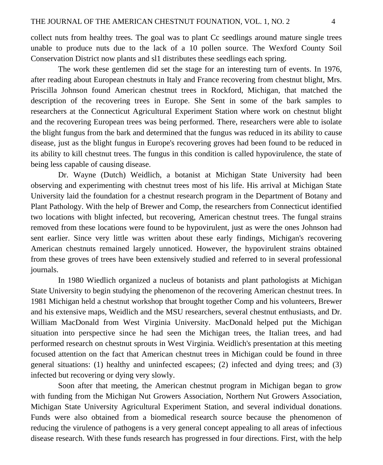collect nuts from healthy trees. The goal was to plant Cc seedlings around mature single trees unable to produce nuts due to the lack of a 10 pollen source. The Wexford County Soil Conservation District now plants and sl1 distributes these seedlings each spring.

The work these gentlemen did set the stage for an interesting turn of events. In 1976, after reading about European chestnuts in Italy and France recovering from chestnut blight, Mrs. Priscilla Johnson found American chestnut trees in Rockford, Michigan, that matched the description of the recovering trees in Europe. She Sent in some of the bark samples to researchers at the Connecticut Agricultural Experiment Station where work on chestnut blight and the recovering European trees was being performed. There, researchers were able to isolate the blight fungus from the bark and determined that the fungus was reduced in its ability to cause disease, just as the blight fungus in Europe's recovering groves had been found to be reduced in its ability to kill chestnut trees. The fungus in this condition is called hypovirulence, the state of being less capable of causing disease.

Dr. Wayne (Dutch) Weidlich, a botanist at Michigan State University had been observing and experimenting with chestnut trees most of his life. His arrival at Michigan State University laid the foundation for a chestnut research program in the Department of Botany and Plant Pathology. With the help of Brewer and Comp, the researchers from Connecticut identified two locations with blight infected, but recovering, American chestnut trees. The fungal strains removed from these locations were found to be hypovirulent, just as were the ones Johnson had sent earlier. Since very little was written about these early findings, Michigan's recovering American chestnuts remained largely unnoticed. However, the hypovirulent strains obtained from these groves of trees have been extensively studied and referred to in several professional journals.

In 1980 Wiedlich organized a nucleus of botanists and plant pathologists at Michigan State University to begin studying the phenomenon of the recovering American chestnut trees. In 1981 Michigan held a chestnut workshop that brought together Comp and his volunteers, Brewer and his extensive maps, Weidlich and the MSU researchers, several chestnut enthusiasts, and Dr. William MacDonald from West Virginia University. MacDonald helped put the Michigan situation into perspective since he had seen the Michigan trees, the Italian trees, and had performed research on chestnut sprouts in West Virginia. Weidlich's presentation at this meeting focused attention on the fact that American chestnut trees in Michigan could be found in three general situations: (1) healthy and uninfected escapees; (2) infected and dying trees; and (3) infected but recovering or dying very slowly.

Soon after that meeting, the American chestnut program in Michigan began to grow with funding from the Michigan Nut Growers Association, Northern Nut Growers Association, Michigan State University Agricultural Experiment Station, and several individual donations. Funds were also obtained from a biomedical research source because the phenomenon of reducing the virulence of pathogens is a very general concept appealing to all areas of infectious disease research. With these funds research has progressed in four directions. First, with the help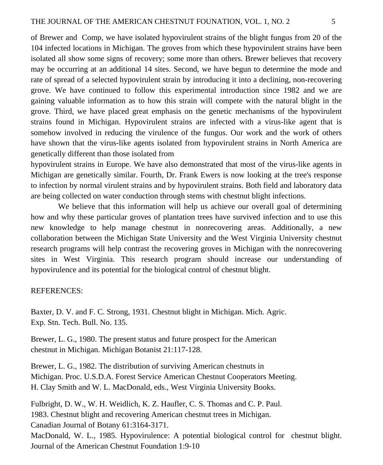of Brewer and Comp, we have isolated hypovirulent strains of the blight fungus from 20 of the 104 infected locations in Michigan. The groves from which these hypovirulent strains have been isolated all show some signs of recovery; some more than others. Brewer believes that recovery may be occurring at an additional 14 sites. Second, we have begun to determine the mode and rate of spread of a selected hypovirulent strain by introducing it into a declining, non-recovering grove. We have continued to follow this experimental introduction since 1982 and we are gaining valuable information as to how this strain will compete with the natural blight in the grove. Third, we have placed great emphasis on the genetic mechanisms of the hypovirulent strains found in Michigan. Hypovirulent strains are infected with a virus-like agent that is somehow involved in reducing the virulence of the fungus. Our work and the work of others have shown that the virus-like agents isolated from hypovirulent strains in North America are genetically different than those isolated from

hypovirulent strains in Europe. We have also demonstrated that most of the virus-like agents in Michigan are genetically similar. Fourth, Dr. Frank Ewers is now looking at the tree's response to infection by normal virulent strains and by hypovirulent strains. Both field and laboratory data are being collected on water conduction through stems with chestnut blight infections.

We believe that this information will help us achieve our overall goal of determining how and why these particular groves of plantation trees have survived infection and to use this new knowledge to help manage chestnut in nonrecovering areas. Additionally, a new collaboration between the Michigan State University and the West Virginia University chestnut research programs will help contrast the recovering groves in Michigan with the nonrecovering sites in West Virginia. This research program should increase our understanding of hypovirulence and its potential for the biological control of chestnut blight.

#### REFERENCES:

Baxter, D. V. and F. C. Strong, 1931. Chestnut blight in Michigan. Mich. Agric. Exp. Stn. Tech. Bull. No. 135.

Brewer, L. G., 1980. The present status and future prospect for the American chestnut in Michigan. Michigan Botanist 21:117-128.

Brewer, L. G., 1982. The distribution of surviving American chestnuts in Michigan. Proc. U.S.D.A. Forest Service American Chestnut Cooperators Meeting. H. Clay Smith and W. L. MacDonald, eds., West Virginia University Books.

Fulbright, D. W., W. H. Weidlich, K. Z. Haufler, C. S. Thomas and C. P. Paul. 1983. Chestnut blight and recovering American chestnut trees in Michigan. Canadian Journal of Botany 61:3164-3171. MacDonald, W. L., 1985. Hypovirulence: A potential biological control for chestnut blight. Journal of the American Chestnut Foundation 1:9-10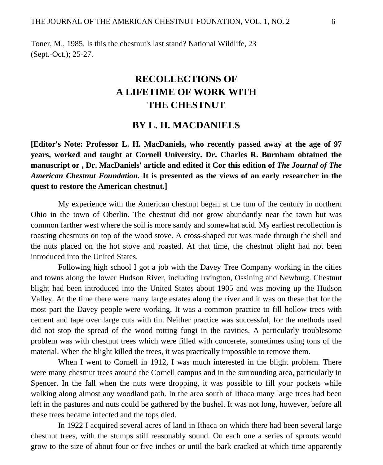Toner, M., 1985. Is this the chestnut's last stand? National Wildlife, 23 (Sept.-Oct.); 25-27.

## **RECOLLECTIONS OF A LIFETIME OF WORK WITH THE CHESTNUT**

### **BY L. H. MACDANIELS**

**[Editor's Note: Professor L. H. MacDaniels, who recently passed away at the age of 97 years, worked and taught at Cornell University. Dr. Charles R. Burnham obtained the manuscript or , Dr. MacDaniels' article and edited it Cor this edition of** *The Journal of The American Chestnut Foundation.* **It is presented as the views of an early researcher in the quest to restore the American chestnut.]** 

My experience with the American chestnut began at the tum of the century in northern Ohio in the town of Oberlin. The chestnut did not grow abundantly near the town but was common farther west where the soil is more sandy and somewhat acid. My earliest recollection is roasting chestnuts on top of the wood stove. A cross-shaped cut was made through the shell and the nuts placed on the hot stove and roasted. At that time, the chestnut blight had not been introduced into the United States.

Following high school I got a job with the Davey Tree Company working in the cities and towns along the lower Hudson River, including Irvington, Ossining and Newburg. Chestnut blight had been introduced into the United States about 1905 and was moving up the Hudson Valley. At the time there were many large estates along the river and it was on these that for the most part the Davey people were working. It was a common practice to fill hollow trees with cement and tape over large cuts with tin. Neither practice was successful, for the methods used did not stop the spread of the wood rotting fungi in the cavities. A particularly troublesome problem was with chestnut trees which were filled with concerete, sometimes using tons of the material. When the blight killed the trees, it was practically impossible to remove them.

When I went to Cornell in 1912, I was much interested in the blight problem. There were many chestnut trees around the Cornell campus and in the surrounding area, particularly in Spencer. In the fall when the nuts were dropping, it was possible to fill your pockets while walking along almost any woodland path. In the area south of Ithaca many large trees had been left in the pastures and nuts could be gathered by the bushel. It was not long, however, before all these trees became infected and the tops died.

In 1922 I acquired several acres of land in Ithaca on which there had been several large chestnut trees, with the stumps still reasonably sound. On each one a series of sprouts would grow to the size of about four or five inches or until the bark cracked at which time apparently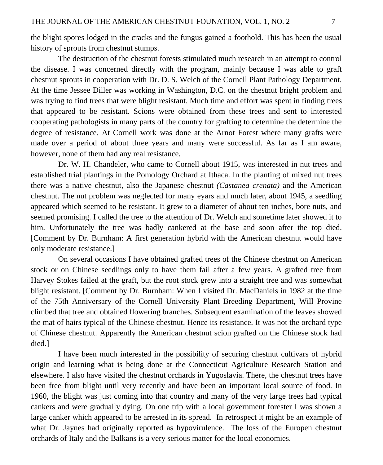history of sprouts from chestnut stumps.

The destruction of the chestnut forests stimulated much research in an attempt to control the disease. I was concerned directly with the program, mainly because I was able to graft chestnut sprouts in cooperation with Dr. D. S. Welch of the Cornell Plant Pathology Department. At the time Jessee Diller was working in Washington, D.C. on the chestnut bright problem and was trying to find trees that were blight resistant. Much time and effort was spent in finding trees that appeared to be resistant. Scions were obtained from these trees and sent to interested cooperating pathologists in many parts of the country for grafting to determine the determine the degree of resistance. At Cornell work was done at the Arnot Forest where many grafts were made over a period of about three years and many were successful. As far as I am aware, however, none of them had any real resistance.

Dr. W. H. Chandeler, who came to Cornell about 1915, was interested in nut trees and established trial plantings in the Pomology Orchard at Ithaca. In the planting of mixed nut trees there was a native chestnut, also the Japanese chestnut *(Castanea crenata)* and the American chestnut. The nut problem was neglected for many eyars and much later, about 1945, a seedling appeared which seemed to be resistant. It grew to a diameter of about ten inches, bore nuts, and seemed promising. I called the tree to the attention of Dr. Welch and sometime later showed it to him. Unfortunately the tree was badly cankered at the base and soon after the top died. [Comment by Dr. Burnham: A first generation hybrid with the American chestnut would have only moderate resistance.]

On several occasions I have obtained grafted trees of the Chinese chestnut on American stock or on Chinese seedlings only to have them fail after a few years. A grafted tree from Harvey Stokes failed at the graft, but the root stock grew into a straight tree and was somewhat blight resistant. [Comment by Dr. Burnham: When I visited Dr. MacDaniels in 1982 at the time of the 75th Anniversary of the Cornell University Plant Breeding Department, Will Provine climbed that tree and obtained flowering branches. Subsequent examination of the leaves showed the mat of hairs typical of the Chinese chestnut. Hence its resistance. It was not the orchard type of Chinese chestnut. Apparently the American chestnut scion grafted on the Chinese stock had died.]

I have been much interested in the possibility of securing chestnut cultivars of hybrid origin and learning what is being done at the Connecticut Agriculture Research Station and elsewhere. I also have visited the chestnut orchards in Yugoslavia. There, the chestnut trees have been free from blight until very recently and have been an important local source of food. In 1960, the blight was just coming into that country and many of the very large trees had typical cankers and were gradually dying. On one trip with a local government forester I was shown a large canker which appeared to be arrested in its spread. In retrospect it might be an example of what Dr. Jaynes had originally reported as hypovirulence. The loss of the Europen chestnut orchards of Italy and the Balkans is a very serious matter for the local economies.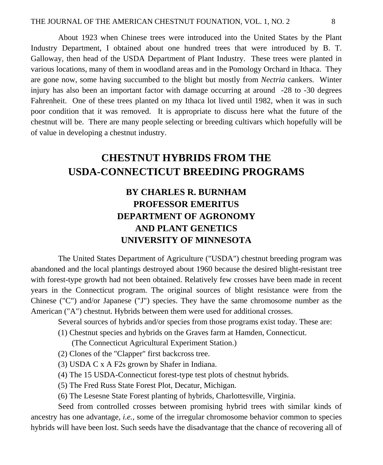About 1923 when Chinese trees were introduced into the United States by the Plant Industry Department, I obtained about one hundred trees that were introduced by B. T. Galloway, then head of the USDA Department of Plant Industry. These trees were planted in various locations, many of them in woodland areas and in the Pomology Orchard in Ithaca. They are gone now, some having succumbed to the blight but mostly from *Nectria* cankers. Winter injury has also been an important factor with damage occurring at around -28 to -30 degrees Fahrenheit. One of these trees planted on my Ithaca lot lived until 1982, when it was in such poor condition that it was removed. It is appropriate to discuss here what the future of the chestnut will be. There are many people selecting or breeding cultivars which hopefully will be of value in developing a chestnut industry.

## **CHESTNUT HYBRIDS FROM THE USDA-CONNECTICUT BREEDING PROGRAMS**

## **BY CHARLES R. BURNHAM PROFESSOR EMERITUS DEPARTMENT OF AGRONOMY AND PLANT GENETICS UNIVERSITY OF MINNESOTA**

The United States Department of Agriculture ("USDA") chestnut breeding program was abandoned and the local plantings destroyed about 1960 because the desired blight-resistant tree with forest-type growth had not been obtained. Relatively few crosses have been made in recent years in the Connecticut program. The original sources of blight resistance were from the Chinese ("C") and/or Japanese ("J") species. They have the same chromosome number as the American ("A") chestnut. Hybrids between them were used for additional crosses.

Several sources of hybrids and/or species from those programs exist today. These are:

(1) Chestnut species and hybrids on the Graves farm at Hamden, Connecticut.

(The Connecticut Agricultural Experiment Station.)

(2) Clones of the "Clapper" first backcross tree.

(3) USDA C x A F2s grown by Shafer in Indiana.

(4) The 15 USDA-Connecticut forest-type test plots of chestnut hybrids.

(5) The Fred Russ State Forest Plot, Decatur, Michigan.

(6) The Lesesne State Forest planting of hybrids, Charlottesville, Virginia.

Seed from controlled crosses between promising hybrid trees with similar kinds of ancestry has one advantage, *i.e.,* some of the irregular chromosome behavior common to species hybrids will have been lost. Such seeds have the disadvantage that the chance of recovering all of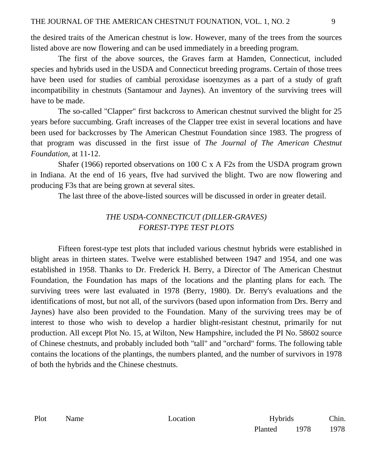the desired traits of the American chestnut is low. However, many of the trees from the sources listed above are now flowering and can be used immediately in a breeding program.

The first of the above sources, the Graves farm at Hamden, Connecticut, included species and hybrids used in the USDA and Connecticut breeding programs. Certain of those trees have been used for studies of cambial peroxidase isoenzymes as a part of a study of graft incompatibility in chestnuts (Santamour and Jaynes). An inventory of the surviving trees will have to be made.

The so-called "Clapper" first backcross to American chestnut survived the blight for 25 years before succumbing. Graft increases of the Clapper tree exist in several locations and have been used for backcrosses by The American Chestnut Foundation since 1983. The progress of that program was discussed in the first issue of *The Journal of The American Chestnut Foundation,* at 11-12.

Shafer (1966) reported observations on 100 C x A F2s from the USDA program grown in Indiana. At the end of 16 years, fIve had survived the blight. Two are now flowering and producing F3s that are being grown at several sites.

The last three of the above-listed sources will be discussed in order in greater detail.

#### *THE USDA-CONNECTICUT (DILLER-GRAVES) FOREST-TYPE TEST PLOTS*

Fifteen forest-type test plots that included various chestnut hybrids were established in blight areas in thirteen states. Twelve were established between 1947 and 1954, and one was established in 1958. Thanks to Dr. Frederick H. Berry, a Director of The American Chestnut Foundation, the Foundation has maps of the locations and the planting plans for each. The surviving trees were last evaluated in 1978 (Berry, 1980). Dr. Berry's evaluations and the identifications of most, but not all, of the survivors (based upon information from Drs. Berry and Jaynes) have also been provided to the Foundation. Many of the surviving trees may be of interest to those who wish to develop a hardier blight-resistant chestnut, primarily for nut production. All except Plot No. 15, at Wilton, New Hampshire, included the PI No. 58602 source of Chinese chestnuts, and probably included both "tall" and "orchard" forms. The following table contains the locations of the plantings, the numbers planted, and the number of survivors in 1978 of both the hybrids and the Chinese chestnuts.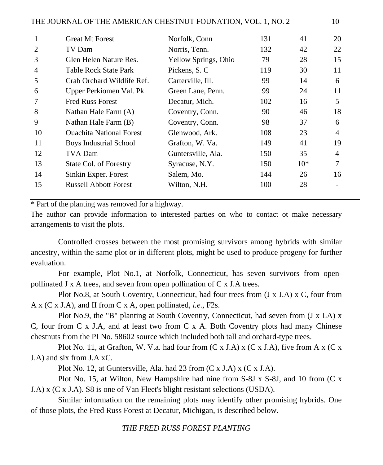| 1  | <b>Great Mt Forest</b>          | Norfolk, Conn        | 131 | 41    | 20 |
|----|---------------------------------|----------------------|-----|-------|----|
| 2  | TV Dam                          | Norris, Tenn.        | 132 | 42    | 22 |
| 3  | Glen Helen Nature Res.          | Yellow Springs, Ohio | 79  | 28    | 15 |
| 4  | Table Rock State Park           | Pickens, S. C        | 119 | 30    | 11 |
| 5  | Crab Orchard Wildlife Ref.      | Carterville, Ill.    | 99  | 14    | 6  |
| 6  | Upper Perkiomen Val. Pk.        | Green Lane, Penn.    | 99  | 24    | 11 |
| 7  | <b>Fred Russ Forest</b>         | Decatur, Mich.       | 102 | 16    | 5  |
| 8  | Nathan Hale Farm (A)            | Coventry, Conn.      | 90  | 46    | 18 |
| 9  | Nathan Hale Farm (B)            | Coventry, Conn.      | 98  | 37    | 6  |
| 10 | <b>Ouachita National Forest</b> | Glenwood, Ark.       | 108 | 23    | 4  |
| 11 | Boys Industrial School          | Grafton, W. Va.      | 149 | 41    | 19 |
| 12 | TVA Dam                         | Guntersville, Ala.   | 150 | 35    | 4  |
| 13 | State Col. of Forestry          | Syracuse, N.Y.       | 150 | $10*$ | 7  |
| 14 | Sinkin Exper. Forest            | Salem, Mo.           | 144 | 26    | 16 |
| 15 | <b>Russell Abbott Forest</b>    | Wilton, N.H.         | 100 | 28    |    |
|    |                                 |                      |     |       |    |

\* Part of the planting was removed for a highway.

The author can provide information to interested parties on who to contact ot make necessary arrangements to visit the plots.

Controlled crosses between the most promising survivors among hybrids with similar ancestry, within the same plot or in different plots, might be used to produce progeny for further evaluation.

For example, Plot No.1, at Norfolk, Connecticut, has seven survivors from openpollinated J x A trees, and seven from open pollination of C x J.A trees.

Plot No.8, at South Coventry, Connecticut, had four trees from (J x J.A) x C, four from A x (C x J.A), and II from C x A, open pollinated, *i.e.,* F2s.

Plot No.9, the "B" planting at South Coventry, Connecticut, had seven from  $(J \times LA) \times$ C, four from C x J.A, and at least two from C x A. Both Coventry plots had many Chinese chestnuts from the PI No. 58602 source which included both tall and orchard-type trees.

Plot No. 11, at Grafton, W. V.a. had four from  $(C \times J.A) \times (C \times J.A)$ , five from A  $\times (C \times J.A)$ J.A) and six from J.A xC.

Plot No. 12, at Guntersville, Ala. had 23 from (C x J.A) x (C x J.A).

Plot No. 15, at Wilton, New Hampshire had nine from S-8J x S-8J, and 10 from (C x J.A) x (C x J.A). S8 is one of Van Fleet's blight resistant selections (USDA).

Similar information on the remaining plots may identify other promising hybrids. One of those plots, the Fred Russ Forest at Decatur, Michigan, is described below.

#### *THE FRED RUSS FOREST PLANTING*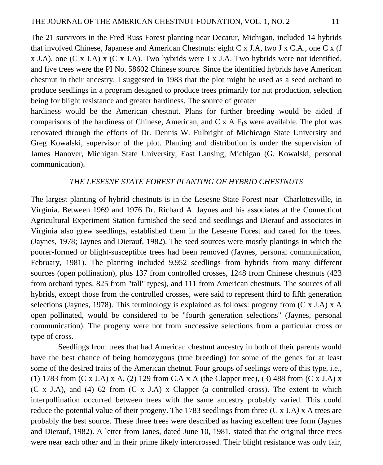The 21 survivors in the Fred Russ Forest planting near Decatur, Michigan, included 14 hybrids that involved Chinese, Japanese and American Chestnuts: eight C x J.A, two J x C.A., one C x (J  $x$  J.A), one (C x J.A)  $x$  (C x J.A). Two hybrids were J x J.A. Two hybrids were not identified, and five trees were the PI No. 58602 Chinese source. Since the identified hybrids have American chestnut in their ancestry, I suggested in 1983 that the plot might be used as a seed orchard to produce seedlings in a program designed to produce trees primarily for nut production, selection being for blight resistance and greater hardiness. The source of greater

hardiness would be the American chestnut. Plans for further breeding would be aided if comparisons of the hardiness of Chinese, American, and C x A  $F_1$ s were available. The plot was renovated through the efforts of Dr. Dennis W. Fulbright of Michicagn State University and Greg Kowalski, supervisor of the plot. Planting and distribution is under the supervision of James Hanover, Michigan State University, East Lansing, Michigan (G. Kowalski, personal communication).

#### *THE LESESNE STATE FOREST PLANTING OF HYBRID CHESTNUTS*

The largest planting of hybrid chestnuts is in the Lesesne State Forest near Charlottesville, in Virginia. Between 1969 and 1976 Dr. Richard A. Jaynes and his associates at the Connecticut Agricultural Experiment Station furnished the seed and seedlings and Dierauf and associates in Virginia also grew seedlings, established them in the Lesesne Forest and cared for the trees. (Jaynes, 1978; Jaynes and Dierauf, 1982). The seed sources were mostly plantings in which the poorer-formed or blight-susceptible trees had been removed (Jaynes, personal communication, February, 1981). The planting included 9,952 seedlings from hybrids from many different sources (open pollination), plus 137 from controlled crosses, 1248 from Chinese chestnuts (423 from orchard types, 825 from "tall" types), and 111 from American chestnuts. The sources of all hybrids, except those from the controlled crosses, were said to represent third to fifth generation selections (Jaynes, 1978). This terminology is explained as follows: progeny from (C x J.A) x A open pollinated, would be considered to be "fourth generation selections" (Jaynes, personal communication). The progeny were not from successive selections from a particular cross or type of cross.

Seedlings from trees that had American chestnut ancestry in both of their parents would have the best chance of being homozygous (true breeding) for some of the genes for at least some of the desired traits of the American chetnut. Four groups of seelings were of this type, i.e., (1) 1783 from (C x J.A) x A, (2) 129 from C.A x A (the Clapper tree), (3) 488 from (C x J.A) x (C x J.A), and (4) 62 from (C x J.A) x Clapper (a controlled cross). The extent to which interpollination occurred between trees with the same ancestry probably varied. This could reduce the potential value of their progeny. The 1783 seedlings from three (C x J.A*)* x A trees are probably the best source. These three trees were described as having excellent tree form (Jaynes and Dierauf, 1982). A letter from Janes, dated June 10, 1981, stated that the original three trees were near each other and in their prime likely intercrossed. Their blight resistance was only fair,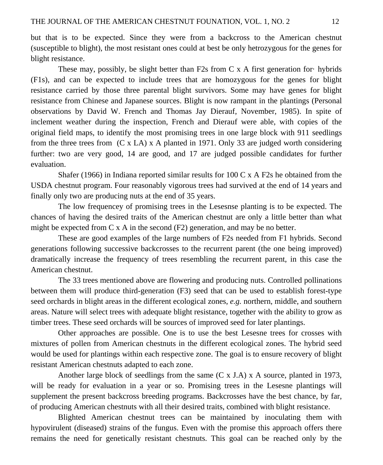but that is to be expected. Since they were from a backcross to the American chestnut (susceptible to blight), the most resistant ones could at best be only hetrozygous for the genes for blight resistance.

These may, possibly, be slight better than F2s from C x A first generation for· hybrids (F1s), and can be expected to include trees that are homozygous for the genes for blight resistance carried by those three parental blight survivors. Some may have genes for blight resistance from Chinese and Japanese sources. Blight is now rampant in the plantings (Personal observations by David W. French and Thomas Jay Dierauf, November, 1985). In spite of inclement weather during the inspection, French and Dierauf were able, with copies of the original field maps, to identify the most promising trees in one large block with 911 seedlings from the three trees from (C x LA) x A planted in 1971. Only 33 are judged worth considering further: two are very good, 14 are good, and 17 are judged possible candidates for further evaluation.

Shafer (1966) in Indiana reported similar results for  $100 \text{ C x}$  A F2s he obtained from the USDA chestnut program. Four reasonably vigorous trees had survived at the end of 14 years and finally only two are producing nuts at the end of 35 years.

The low frequencey of promising trees in the Lesesnse planting is to be expected. The chances of having the desired traits of the American chestnut are only a little better than what might be expected from  $C \times A$  in the second  $(F2)$  generation, and may be no better.

These are good examples of the large numbers of F2s needed from F1 hybrids. Second generations following successive backcrosses to the recurrent parent (the one being improved) dramatically increase the frequency of trees resembling the recurrent parent, in this case the American chestnut.

The 33 trees mentioned above are flowering and producing nuts. Controlled pollinations between them will produce third-generation (F3) seed that can be used to establish forest-type seed orchards in blight areas in the different ecological zones, *e.g.* northern, middle, and southern areas. Nature will select trees with adequate blight resistance, together with the ability to grow as timber trees. These seed orchards will be sources of improved seed for later plantings.

Other approaches are possible. One is to use the best Lesesne trees for crosses with mixtures of pollen from American chestnuts in the different ecological zones. The hybrid seed would be used for plantings within each respective zone. The goal is to ensure recovery of blight resistant American chestnuts adapted to each zone.

Another large block of seedlings from the same (C x J.A) x A source, planted in 1973, will be ready for evaluation in a year or so. Promising trees in the Lesesne plantings will supplement the present backcross breeding programs. Backcrosses have the best chance, by far, of producing American chestnuts with all their desired traits, combined with blight resistance.

Blighted American chestnut trees can be maintained by inoculating them with hypovirulent (diseased) strains of the fungus. Even with the promise this approach offers there remains the need for genetically resistant chestnuts. This goal can be reached only by the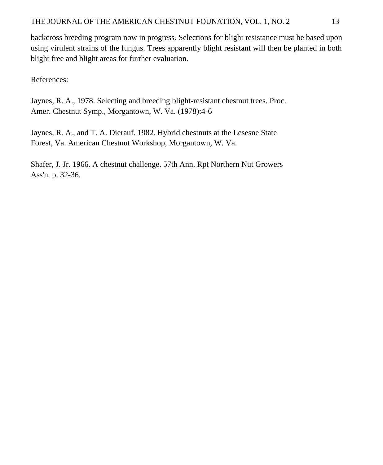backcross breeding program now in progress. Selections for blight resistance must be based upon using virulent strains of the fungus. Trees apparently blight resistant will then be planted in both blight free and blight areas for further evaluation.

References:

Jaynes, R. A., 1978. Selecting and breeding blight-resistant chestnut trees. Proc. Amer. Chestnut Symp., Morgantown, W. Va. (1978):4-6

Jaynes, R. A., and T. A. Dierauf. 1982. Hybrid chestnuts at the Lesesne State Forest, Va. American Chestnut Workshop, Morgantown, W. Va.

Shafer, J. Jr. 1966. A chestnut challenge. 57th Ann. Rpt Northern Nut Growers Ass'n. p. 32-36.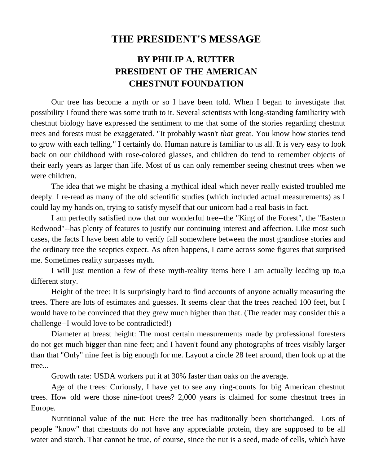### **THE PRESIDENT'S MESSAGE**

## **BY PHILIP A. RUTTER PRESIDENT OF THE AMERICAN CHESTNUT FOUNDATION**

Our tree has become a myth or so I have been told. When I began to investigate that possibility I found there was some truth to it. Several scientists with long-standing familiarity with chestnut biology have expressed the sentiment to me that some of the stories regarding chestnut trees and forests must be exaggerated. "It probably wasn't *that* great. You know how stories tend to grow with each telling." I certainly do. Human nature is familiar to us all. It is very easy to look back on our childhood with rose-colored glasses, and children do tend to remember objects of their early years as larger than life. Most of us can only remember seeing chestnut trees when we were children.

The idea that we might be chasing a mythical ideal which never really existed troubled me deeply. I re-read as many of the old scientific studies (which included actual measurements) as I could lay my hands on, trying to satisfy myself that our unicorn had a real basis in fact.

I am perfectly satisfied now that our wonderful tree--the "King of the Forest", the "Eastern Redwood"--has plenty of features to justify our continuing interest and affection. Like most such cases, the facts I have been able to verify fall somewhere between the most grandiose stories and the ordinary tree the sceptics expect. As often happens, I came across some figures that surprised me. Sometimes reality surpasses myth.

I will just mention a few of these myth-reality items here I am actually leading up to,a different story.

Height of the tree: It is surprisingly hard to find accounts of anyone actually measuring the trees. There are lots of estimates and guesses. It seems clear that the trees reached 100 feet, but I would have to be convinced that they grew much higher than that. (The reader may consider this a challenge--I would love to be contradicted!)

Diameter at breast height: The most certain measurements made by professional foresters do not get much bigger than nine feet; and I haven't found any photographs of trees visibly larger than that "Only" nine feet is big enough for me. Layout a circle 28 feet around, then look up at the tree...

Growth rate: USDA workers put it at 30% faster than oaks on the average.

Age of the trees: Curiously, I have yet to see any ring-counts for big American chestnut trees. How old were those nine-foot trees? 2,000 years is claimed for some chestnut trees in Europe.

Nutritional value of the nut: Here the tree has traditonally been shortchanged. Lots of people "know" that chestnuts do not have any appreciable protein, they are supposed to be all water and starch. That cannot be true, of course, since the nut is a seed, made of cells, which have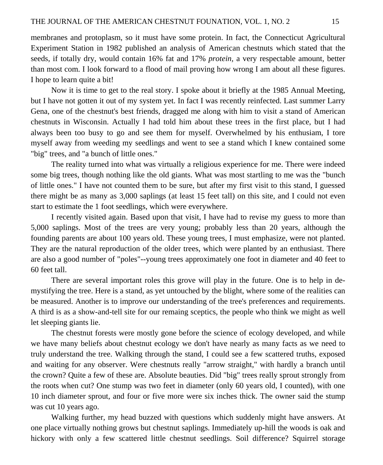membranes and protoplasm, so it must have some protein. In fact, the Connecticut Agricultural Experiment Station in 1982 published an analysis of American chestnuts which stated that the seeds, if totally dry, would contain 16% fat and 17% *protein,* a very respectable amount, better than most com. I look forward to a flood of mail proving how wrong I am about all these figures. I hope to learn quite a bit!

Now it is time to get to the real story. I spoke about it briefly at the 1985 Annual Meeting, but I have not gotten it out of my system yet. In fact I was recently reinfected. Last summer Larry Gena, one of the chestnut's best friends, dragged me along with him to visit a stand of American chestnuts in Wisconsin. Actually I had told him about these trees in the first place, but I had always been too busy to go and see them for myself. Overwhelmed by his enthusiam, I tore myself away from weeding my seedlings and went to see a stand which I knew contained some "big" trees, and "a bunch of little ones."

The reality turned into what was virtually a religious experience for me. There were indeed some big trees, though nothing like the old giants. What was most startling to me was the "bunch of little ones." I have not counted them to be sure, but after my first visit to this stand, I guessed there might be as many as 3,000 saplings (at least 15 feet tall) on this site, and I could not even start to estimate the 1 foot seedlings, which were everywhere.

I recently visited again. Based upon that visit, I have had to revise my guess to more than 5,000 saplings. Most of the trees are very young; probably less than 20 years, although the founding parents are about 100 years old. These young trees, I must emphasize, were not planted. They are the natural reproduction of the older trees, which were planted by an enthusiast. There are also a good number of "poles"--young trees approximately one foot in diameter and 40 feet to 60 feet tall.

There are several important roles this grove will play in the future. One is to help in demystifying the tree. Here is a stand, as yet untouched by the blight, where some of the realities can be measured. Another is to improve our understanding of the tree's preferences and requirements. A third is as a show-and-tell site for our remaing sceptics, the people who think we might as well let sleeping giants lie.

The chestnut forests were mostly gone before the science of ecology developed, and while we have many beliefs about chestnut ecology we don't have nearly as many facts as we need to truly understand the tree. Walking through the stand, I could see a few scattered truths, exposed and waiting for any observer. Were chestnuts really "arrow straight," with hardly a branch until the crown? Quite a few of these are. Absolute beauties. Did "big" trees really sprout strongly from the roots when cut? One stump was two feet in diameter (only 60 years old, I counted), with one 10 inch diameter sprout, and four or five more were six inches thick. The owner said the stump was cut 10 years ago.

Walking further, my head buzzed with questions which suddenly might have answers. At one place virtually nothing grows but chestnut saplings. Immediately up-hill the woods is oak and hickory with only a few scattered little chestnut seedlings. Soil difference? Squirrel storage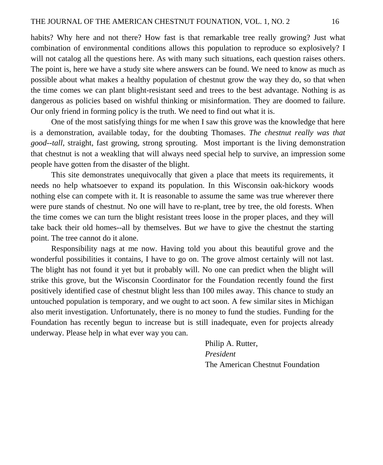habits? Why here and not there? How fast is that remarkable tree really growing? Just what combination of environmental conditions allows this population to reproduce so explosively? I will not catalog all the questions here. As with many such situations, each question raises others. The point is, here we have a study site where answers can be found. We need to know as much as possible about what makes a healthy population of chestnut grow the way they do, so that when the time comes we can plant blight-resistant seed and trees to the best advantage. Nothing is as dangerous as policies based on wishful thinking or misinformation. They are doomed to failure. Our only friend in forming policy is the truth. We need to find out what it is.

One of the most satisfying things for me when I saw this grove was the knowledge that here is a demonstration, available today, for the doubting Thomases. *The chestnut really was that good--tall,* straight, fast growing, strong sprouting. Most important is the living demonstration that chestnut is not a weakling that will always need special help to survive, an impression some people have gotten from the disaster of the blight.

This site demonstrates unequivocally that given a place that meets its requirements, it needs no help whatsoever to expand its population. In this Wisconsin oak-hickory woods nothing else can compete with it. It is reasonable to assume the same was true wherever there were pure stands of chestnut. No one will have to re-plant, tree by tree, the old forests. When the time comes we can turn the blight resistant trees loose in the proper places, and they will take back their old homes--all by themselves. But *we* have to give the chestnut the starting point. The tree cannot do it alone.

Responsibility nags at me now. Having told you about this beautiful grove and the wonderful possibilities it contains, I have to go on. The grove almost certainly will not last. The blight has not found it yet but it probably will. No one can predict when the blight will strike this grove, but the Wisconsin Coordinator for the Foundation recently found the first positively identified case of chestnut blight less than 100 miles away. This chance to study an untouched population is temporary, and we ought to act soon. A few similar sites in Michigan also merit investigation. Unfortunately, there is no money to fund the studies. Funding for the Foundation has recently begun to increase but is still inadequate, even for projects already underway. Please help in what ever way you can.

> Philip A. Rutter, *President*  The American Chestnut Foundation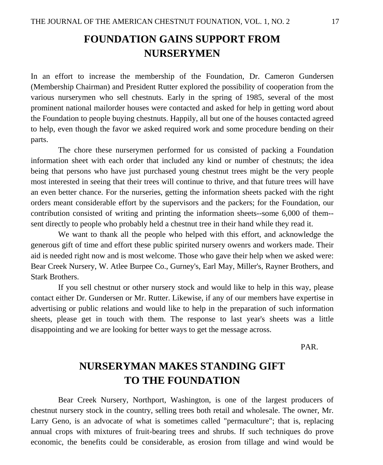## **FOUNDATION GAINS SUPPORT FROM NURSERYMEN**

In an effort to increase the membership of the Foundation, Dr. Cameron Gundersen (Membership Chairman) and President Rutter explored the possibility of cooperation from the various nurserymen who sell chestnuts. Early in the spring of 1985, several of the most prominent national mailorder houses were contacted and asked for help in getting word about the Foundation to people buying chestnuts. Happily, all but one of the houses contacted agreed to help, even though the favor we asked required work and some procedure bending on their parts.

The chore these nurserymen performed for us consisted of packing a Foundation information sheet with each order that included any kind or number of chestnuts; the idea being that persons who have just purchased young chestnut trees might be the very people most interested in seeing that their trees will continue to thrive, and that future trees will have an even better chance. For the nurseries, getting the information sheets packed with the right orders meant considerable effort by the supervisors and the packers; for the Foundation, our contribution consisted of writing and printing the information sheets--some 6,000 of them- sent directly to people who probably held a chestnut tree in their hand while they read it.

We want to thank all the people who helped with this effort, and acknowledge the generous gift of time and effort these public spirited nursery owenrs and workers made. Their aid is needed right now and is most welcome. Those who gave their help when we asked were: Bear Creek Nursery, W. Atlee Burpee Co., Gurney's, Earl May, Miller's, Rayner Brothers, and Stark Brothers.

If you sell chestnut or other nursery stock and would like to help in this way, please contact either Dr. Gundersen or Mr. Rutter. Likewise, if any of our members have expertise in advertising or public relations and would like to help in the preparation of such information sheets, please get in touch with them. The response to last year's sheets was a little disappointing and we are looking for better ways to get the message across.

PAR.

## **NURSERYMAN MAKES STANDING GIFT TO THE FOUNDATION**

Bear Creek Nursery, Northport, Washington, is one of the largest producers of chestnut nursery stock in the country, selling trees both retail and wholesale. The owner, Mr. Larry Geno, is an advocate of what is sometimes called "permaculture"; that is, replacing annual crops with mixtures of fruit-bearing trees and shrubs. If such techniques do prove economic, the benefits could be considerable, as erosion from tillage and wind would be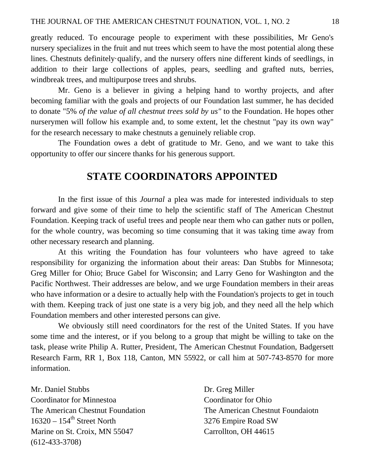greatly reduced. To encourage people to experiment with these possibilities, Mr Geno's nursery specializes in the fruit and nut trees which seem to have the most potential along these lines. Chestnuts definitely·qualify, and the nursery offers nine different kinds of seedlings, in addition to their large collections of apples, pears, seedling and grafted nuts, berries, windbreak trees, and multipurpose trees and shrubs.

Mr. Geno is a believer in giving a helping hand to worthy projects, and after becoming familiar with the goals and projects of our Foundation last summer, he has decided to donate "5% *of the value of all chestnut trees sold by us"* to the Foundation. He hopes other nurserymen will follow his example and, to some extent, let the chestnut "pay its own way" for the research necessary to make chestnuts a genuinely reliable crop.

The Foundation owes a debt of gratitude to Mr. Geno, and we want to take this opportunity to offer our sincere thanks for his generous support.

## **STATE COORDINATORS APPOINTED**

In the first issue of this *Journal* a plea was made for interested individuals to step forward and give some of their time to help the scientific staff of The American Chestnut Foundation. Keeping track of useful trees and people near them who can gather nuts or pollen, for the whole country, was becoming so time consuming that it was taking time away from other necessary research and planning.

At this writing the Foundation has four volunteers who have agreed to take responsibility for organizing the information about their areas: Dan Stubbs for Minnesota; Greg Miller for Ohio; Bruce Gabel for Wisconsin; and Larry Geno for Washington and the Pacific Northwest. Their addresses are below, and we urge Foundation members in their areas who have information or a desire to actually help with the Foundation's projects to get in touch with them. Keeping track of just one state is a very big job, and they need all the help which Foundation members and other interested persons can give.

We obviously still need coordinators for the rest of the United States. If you have some time and the interest, or if you belong to a group that might be willing to take on the task, please write Philip A. Rutter, President, The American Chestnut Foundation, Badgersett Research Farm, RR 1, Box 118, Canton, MN 55922, or call him at 507-743-8570 for more information.

Mr. Daniel Stubbs Coordinator for Minnestoa The American Chestnut Foundation  $16320 - 154$ <sup>th</sup> Street North Marine on St. Croix, MN 55047 (612-433-3708)

Dr. Greg Miller Coordinator for Ohio The American Chestnut Foundaiotn 3276 Empire Road SW Carrollton, OH 44615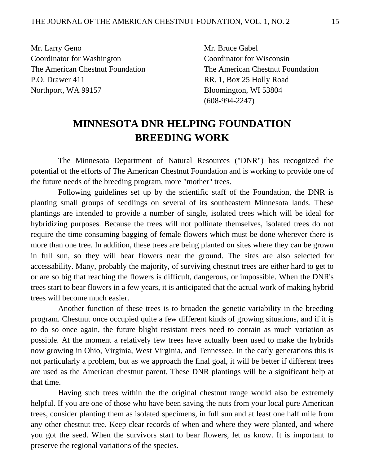Mr. Larry Geno Coordinator for Washington The American Chestnut Foundation P.O. Drawer 411 Northport, WA 99157

Mr. Bruce Gabel Coordinator for Wisconsin The American Chestnut Foundation RR. 1, Box 25 Holly Road Bloomington, WI 53804 (608-994-2247)

## **MINNESOTA DNR HELPING FOUNDATION BREEDING WORK**

The Minnesota Department of Natural Resources ("DNR") has recognized the potential of the efforts of The American Chestnut Foundation and is working to provide one of the future needs of the breeding program, more "mother" trees.

Following guidelines set up by the scientific staff of the Foundation, the DNR is planting small groups of seedlings on several of its southeastern Minnesota lands. These plantings are intended to provide a number of single, isolated trees which will be ideal for hybridizing purposes. Because the trees will not pollinate themselves, isolated trees do not require the time consuming bagging of female flowers which must be done wherever there is more than one tree. In addition, these trees are being planted on sites where they can be grown in full sun, so they will bear flowers near the ground. The sites are also selected for accessability. Many, probably the majority, of surviving chestnut trees are either hard to get to or are so big that reaching the flowers is difficult, dangerous, or impossible. When the DNR's trees start to bear flowers in a few years, it is anticipated that the actual work of making hybrid trees will become much easier.

Another function of these trees is to broaden the genetic variability in the breeding program. Chestnut once occupied quite a few different kinds of growing situations, and if it is to do so once again, the future blight resistant trees need to contain as much variation as possible. At the moment a relatively few trees have actually been used to make the hybrids now growing in Ohio, Virginia, West Virginia, and Tennessee. In the early generations this is not particularly a problem, but as we approach the final goal, it will be better if different trees are used as the American chestnut parent. These DNR plantings will be a significant help at that time.

Having such trees within the the original chestnut range would also be extremely helpful. If you are one of those who have been saving the nuts from your local pure American trees, consider planting them as isolated specimens, in full sun and at least one half mile from any other chestnut tree. Keep clear records of when and where they were planted, and where you got the seed. When the survivors start to bear flowers, let us know. It is important to preserve the regional variations of the species.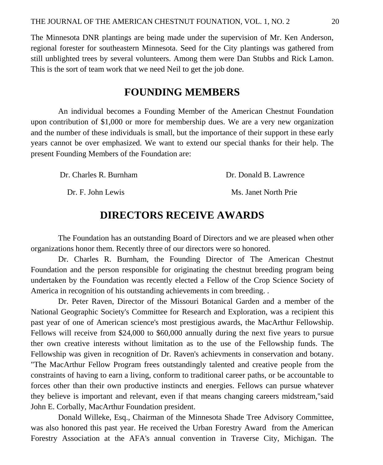The Minnesota DNR plantings are being made under the supervision of Mr. Ken Anderson, regional forester for southeastern Minnesota. Seed for the City plantings was gathered from still unblighted trees by several volunteers. Among them were Dan Stubbs and Rick Lamon. This is the sort of team work that we need Neil to get the job done.

#### **FOUNDING MEMBERS**

An individual becomes a Founding Member of the American Chestnut Foundation upon contribution of \$1,000 or more for membership dues. We are a very new organization and the number of these individuals is small, but the importance of their support in these early years cannot be over emphasized. We want to extend our special thanks for their help. The present Founding Members of the Foundation are:

Dr. Charles R. Burnham Dr. Donald B. Lawrence

Dr. F. John Lewis Ms. Janet North Prie

## **DIRECTORS RECEIVE AWARDS**

The Foundation has an outstanding Board of Directors and we are pleased when other organizations honor them. Recently three of our directors were so honored.

Dr. Charles R. Burnham, the Founding Director of The American Chestnut Foundation and the person responsible for originating the chestnut breeding program being undertaken by the Foundation was recently elected a Fellow of the Crop Science Society of America in recognition of his outstanding achievements in com breeding. .

Dr. Peter Raven, Director of the Missouri Botanical Garden and a member of the National Geographic Society's Committee for Research and Exploration, was a recipient this past year of one of American science's most prestigious awards, the MacArthur Fellowship. Fellows will receive from \$24,000 to \$60,000 annually during the next five years to pursue ther own creative interests without limitation as to the use of the Fellowship funds. The Fellowship was given in recognition of Dr. Raven's achievments in conservation and botany. "The MacArthur Fellow Program frees outstandingly talented and creative people from the constraints of having to earn a living, conform to traditional career paths, or be accountable to forces other than their own productive instincts and energies. Fellows can pursue whatever they believe is important and relevant, even if that means changing careers midstream,"said John E. Corbally, MacArthur Foundation president.

Donald Willeke, Esq., Chairman of the Minnesota Shade Tree Advisory Committee, was also honored this past year. He received the Urban Forestry Award from the American Forestry Association at the AFA's annual convention in Traverse City, Michigan. The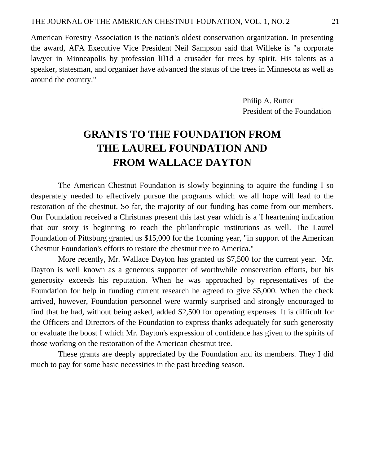American Forestry Association is the nation's oldest conservation organization. In presenting the award, AFA Executive Vice President Neil Sampson said that Willeke is "a corporate lawyer in Minneapolis by profession lIl1d a crusader for trees by spirit. His talents as a speaker, statesman, and organizer have advanced the status of the trees in Minnesota as well as around the country."

> Philip A. Rutter President of the Foundation

## **GRANTS TO THE FOUNDATION FROM THE LAUREL FOUNDATION AND FROM WALLACE DAYTON**

The American Chestnut Foundation is slowly beginning to aquire the funding I so desperately needed to effectively pursue the programs which we all hope will lead to the restoration of the chestnut. So far, the majority of our funding has come from our members. Our Foundation received a Christmas present this last year which is a 'I heartening indication that our story is beginning to reach the philanthropic institutions as well. The Laurel Foundation of Pittsburg granted us \$15,000 for the 1coming year, "in support of the American Chestnut Foundation's efforts to restore the chestnut tree to America."

More recently, Mr. Wallace Dayton has granted us \$7,500 for the current year. Mr. Dayton is well known as a generous supporter of worthwhile conservation efforts, but his generosity exceeds his reputation. When he was approached by representatives of the Foundation for help in funding current research he agreed to give \$5,000. When the check arrived, however, Foundation personnel were warmly surprised and strongly encouraged to find that he had, without being asked, added \$2,500 for operating expenses. It is difficult for the Officers and Directors of the Foundation to express thanks adequately for such generosity or evaluate the boost I which Mr. Dayton's expression of confidence has given to the spirits of those working on the restoration of the American chestnut tree.

These grants are deeply appreciated by the Foundation and its members. They I did much to pay for some basic necessities in the past breeding season.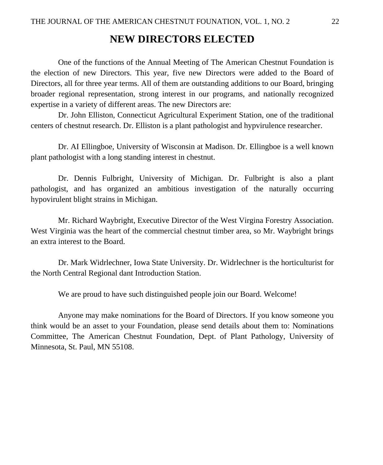### **NEW DIRECTORS ELECTED**

One of the functions of the Annual Meeting of The American Chestnut Foundation is the election of new Directors. This year, five new Directors were added to the Board of Directors, all for three year terms. All of them are outstanding additions to our Board, bringing broader regional representation, strong interest in our programs, and nationally recognized expertise in a variety of different areas. The new Directors are:

Dr. John Elliston, Connecticut Agricultural Experiment Station, one of the traditional centers of chestnut research. Dr. Elliston is a plant pathologist and hypvirulence researcher.

Dr. AI Ellingboe, University of Wisconsin at Madison. Dr. Ellingboe is a well known plant pathologist with a long standing interest in chestnut.

Dr. Dennis Fulbright, University of Michigan. Dr. Fulbright is also a plant pathologist, and has organized an ambitious investigation of the naturally occurring hypovirulent blight strains in Michigan.

Mr. Richard Waybright, Executive Director of the West Virgina Forestry Association. West Virginia was the heart of the commercial chestnut timber area, so Mr. Waybright brings an extra interest to the Board.

Dr. Mark Widrlechner, Iowa State University. Dr. Widrlechner is the horticulturist for the North Central Regional dant Introduction Station.

We are proud to have such distinguished people join our Board. Welcome!

Anyone may make nominations for the Board of Directors. If you know someone you think would be an asset to your Foundation, please send details about them to: Nominations Committee, The American Chestnut Foundation, Dept. of Plant Pathology, University of Minnesota, St. Paul, MN 55108.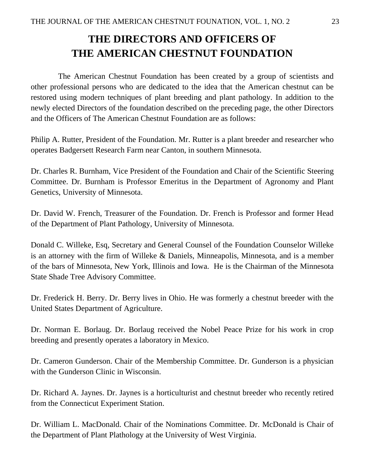## **THE DIRECTORS AND OFFICERS OF THE AMERICAN CHESTNUT FOUNDATION**

The American Chestnut Foundation has been created by a group of scientists and other professional persons who are dedicated to the idea that the American chestnut can be restored using modern techniques of plant breeding and plant pathology. In addition to the newly elected Directors of the foundation described on the preceding page, the other Directors and the Officers of The American Chestnut Foundation are as follows:

Philip A. Rutter, President of the Foundation. Mr. Rutter is a plant breeder and researcher who operates Badgersett Research Farm near Canton, in southern Minnesota.

Dr. Charles R. Burnham, Vice President of the Foundation and Chair of the Scientific Steering Committee. Dr. Burnham is Professor Emeritus in the Department of Agronomy and Plant Genetics, University of Minnesota.

Dr. David W. French, Treasurer of the Foundation. Dr. French is Professor and former Head of the Department of Plant Pathology, University of Minnesota.

Donald C. Willeke, Esq, Secretary and General Counsel of the Foundation Counselor Willeke is an attorney with the firm of Willeke & Daniels, Minneapolis, Minnesota, and is a member of the bars of Minnesota, New York, Illinois and Iowa. He is the Chairman of the Minnesota State Shade Tree Advisory Committee.

Dr. Frederick H. Berry. Dr. Berry lives in Ohio. He was formerly a chestnut breeder with the United States Department of Agriculture.

Dr. Norman E. Borlaug. Dr. Borlaug received the Nobel Peace Prize for his work in crop breeding and presently operates a laboratory in Mexico.

Dr. Cameron Gunderson. Chair of the Membership Committee. Dr. Gunderson is a physician with the Gunderson Clinic in Wisconsin.

Dr. Richard A. Jaynes. Dr. Jaynes is a horticulturist and chestnut breeder who recently retired from the Connecticut Experiment Station.

Dr. William L. MacDonald. Chair of the Nominations Committee. Dr. McDonald is Chair of the Department of Plant Plathology at the University of West Virginia.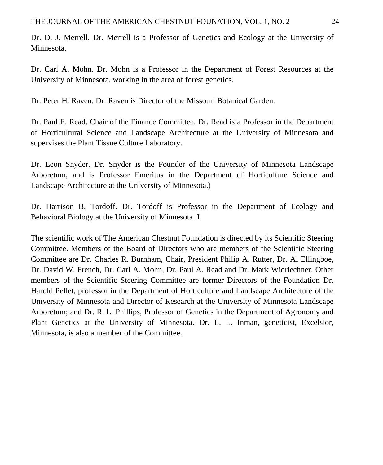Dr. D. J. Merrell. Dr. Merrell is a Professor of Genetics and Ecology at the University of Minnesota.

Dr. Carl A. Mohn. Dr. Mohn is a Professor in the Department of Forest Resources at the University of Minnesota, working in the area of forest genetics.

Dr. Peter H. Raven. Dr. Raven is Director of the Missouri Botanical Garden.

Dr. Paul E. Read. Chair of the Finance Committee. Dr. Read is a Professor in the Department of Horticultural Science and Landscape Architecture at the University of Minnesota and supervises the Plant Tissue Culture Laboratory.

Dr. Leon Snyder. Dr. Snyder is the Founder of the University of Minnesota Landscape Arboretum, and is Professor Emeritus in the Department of Horticulture Science and Landscape Architecture at the University of Minnesota.)

Dr. Harrison B. Tordoff. Dr. Tordoff is Professor in the Department of Ecology and Behavioral Biology at the University of Minnesota. I

The scientific work of The American Chestnut Foundation is directed by its Scientific Steering Committee. Members of the Board of Directors who are members of the Scientific Steering Committee are Dr. Charles R. Burnham, Chair, President Philip A. Rutter, Dr. Al Ellingboe, Dr. David W. French, Dr. Carl A. Mohn, Dr. Paul A. Read and Dr. Mark Widrlechner. Other members of the Scientific Steering Committee are former Directors of the Foundation Dr. Harold Pellet, professor in the Department of Horticulture and Landscape Architecture of the University of Minnesota and Director of Research at the University of Minnesota Landscape Arboretum; and Dr. R. L. Phillips, Professor of Genetics in the Department of Agronomy and Plant Genetics at the University of Minnesota. Dr. L. L. Inman, geneticist, Excelsior, Minnesota, is also a member of the Committee.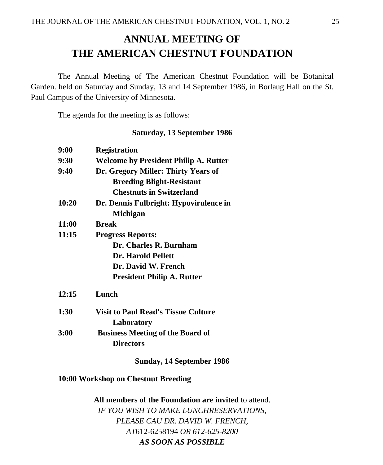## **ANNUAL MEETING OF THE AMERICAN CHESTNUT FOUNDATION**

The Annual Meeting of The American Chestnut Foundation will be Botanical Garden. held on Saturday and Sunday, 13 and 14 September 1986, in Borlaug Hall on the St. Paul Campus of the University of Minnesota.

The agenda for the meeting is as follows:

#### **Saturday, 13 September 1986**

| 9:00  | <b>Registration</b>                          |  |  |
|-------|----------------------------------------------|--|--|
| 9:30  | <b>Welcome by President Philip A. Rutter</b> |  |  |
| 9:40  | Dr. Gregory Miller: Thirty Years of          |  |  |
|       | <b>Breeding Blight-Resistant</b>             |  |  |
|       | <b>Chestnuts in Switzerland</b>              |  |  |
| 10:20 | Dr. Dennis Fulbright: Hypovirulence in       |  |  |
|       | Michigan                                     |  |  |
| 11:00 | <b>Rreak</b>                                 |  |  |
| 11:15 | <b>Progress Reports:</b>                     |  |  |
|       | Dr. Charles R. Burnham                       |  |  |
|       | <b>Dr. Harold Pellett</b>                    |  |  |
|       | Dr. David W. French                          |  |  |
|       | <b>President Philip A. Rutter</b>            |  |  |
| 12:15 | Lunch                                        |  |  |
| 1:30  | <b>Visit to Paul Read's Tissue Culture</b>   |  |  |
|       | Laboratory                                   |  |  |
| 3:00  | <b>Business Meeting of the Board of</b>      |  |  |
|       | <b>Directors</b>                             |  |  |
|       | Sunday, 14 September 1986                    |  |  |

#### **10:00 Workshop on Chestnut Breeding**

**All members of the Foundation are invited** to attend. *IF YOU WISH TO MAKE LUNCHRESERVATIONS, PLEASE CAU DR. DAVID W. FRENCH, AT*612-6258194 *OR 612-625-8200 AS SOON AS POSSIBLE*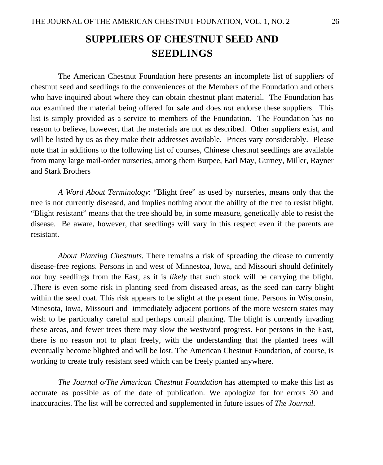## **SUPPLIERS OF CHESTNUT SEED AND SEEDLINGS**

 The American Chestnut Foundation here presents an incomplete list of suppliers of chestnut seed and seedlings fo the conveniences of the Members of the Foundation and others who have inquired about where they can obtain chestnut plant material. The Foundation has *not* examined the material being offered for sale and does *not* endorse these suppliers. This list is simply provided as a service to members of the Foundation. The Foundation has no reason to believe, however, that the materials are not as described. Other suppliers exist, and will be listed by us as they make their addresses available. Prices vary considerably. Please note that in additions to the following list of courses, Chinese chestnut seedlings are available from many large mail-order nurseries, among them Burpee, Earl May, Gurney, Miller, Rayner and Stark Brothers

 *A Word About Terminology*: "Blight free" as used by nurseries, means only that the tree is not currently diseased, and implies nothing about the ability of the tree to resist blight. "Blight resistant" means that the tree should be, in some measure, genetically able to resist the disease. Be aware, however, that seedlings will vary in this respect even if the parents are resistant.

*About Planting Chestnuts.* There remains a risk of spreading the diease to currently disease-free regions. Persons in and west of Minnestoa, Iowa, and Missouri should definitely *not* buy seedlings from the East, as it is *likely* that such stock will be carrying the blight. .There is even some risk in planting seed from diseased areas, as the seed can carry blight within the seed coat. This risk appears to be slight at the present time. Persons in Wisconsin, Minesota, Iowa, Missouri and immediately adjacent portions of the more western states may wish to be particualry careful and perhaps curtail planting. The blight is currently invading these areas, and fewer trees there may slow the westward progress. For persons in the East, there is no reason not to plant freely, with the understanding that the planted trees will eventually become blighted and will be lost. The American Chestnut Foundation, of course, is working to create truly resistant seed which can be freely planted anywhere.

*The Journal o/The American Chestnut Foundation* has attempted to make this list as accurate as possible as of the date of publication. We apologize for for errors 30 and inaccuracies. The list will be corrected and supplemented in future issues of *The Journal.*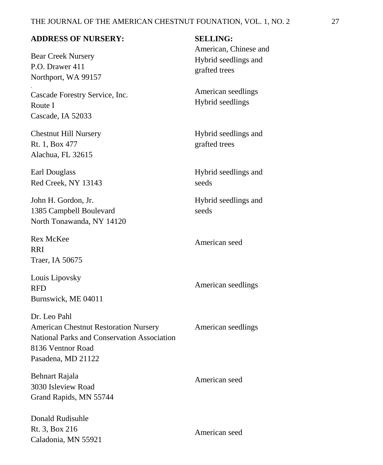#### **ADDRESS OF NURSERY:**

Bear Creek Nursery P.O. Drawer 411 Northport, WA 99157

.

Cascade Forestry Service, Inc. Route I Cascade, IA 52033

Chestnut Hill Nursery Rt. 1, Box 477 Alachua, FL 32615

Earl Douglass Red Creek, NY 13143

John H. Gordon, Jr. 1385 Campbell Boulevard North Tonawanda, NY 14120

Rex McKee RRI Traer, IA 50675

Louis Lipovsky RFD Burnswick, ME 04011

Dr. Leo Pahl American Chestnut Restoration Nursery National Parks and Conservation Association 8136 Ventnor Road Pasadena, MD 21122

Behnart Rajala 3030 Isleview Road Grand Rapids, MN 55744

Donald Rudisuhle Rt. 3, Box 216 Caladonia, MN 55921 **SELLING:** 

American, Chinese and Hybrid seedlings and grafted trees

American seedlings Hybrid seedlings

Hybrid seedlings and grafted trees

Hybrid seedlings and seeds

Hybrid seedlings and seeds

American seed

American seedlings

American seedlings

American seed

American seed